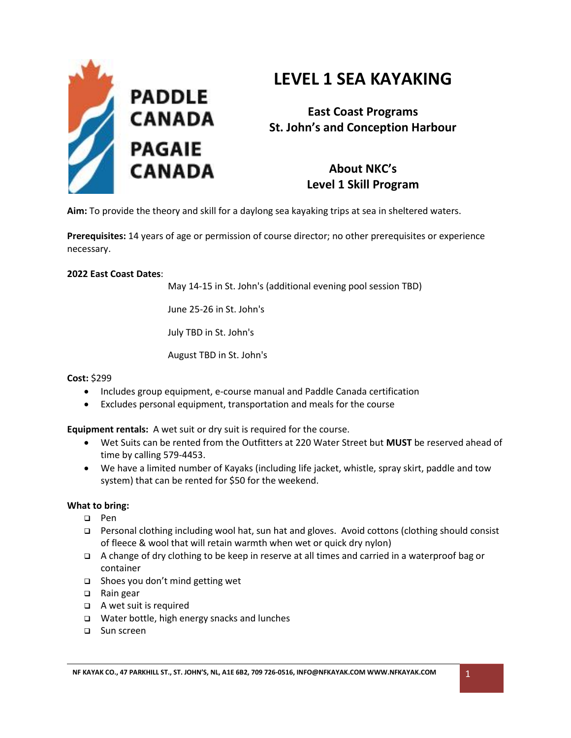

# **LEVEL 1 SEA KAYAKING**

**East Coast Programs St. John's and Conception Harbour**

> **About NKC's Level 1 Skill Program**

**Aim:** To provide the theory and skill for a daylong sea kayaking trips at sea in sheltered waters.

**Prerequisites:** 14 years of age or permission of course director; no other prerequisites or experience necessary.

#### **2022 East Coast Dates**:

May 14-15 in St. John's (additional evening pool session TBD)

June 25-26 in St. John's

July TBD in St. John's

August TBD in St. John's

## **Cost:** \$299

- Includes group equipment, e-course manual and Paddle Canada certification
- Excludes personal equipment, transportation and meals for the course

**Equipment rentals:** A wet suit or dry suit is required for the course.

- Wet Suits can be rented from the Outfitters at 220 Water Street but **MUST** be reserved ahead of time by calling 579-4453.
- We have a limited number of Kayaks (including life jacket, whistle, spray skirt, paddle and tow system) that can be rented for \$50 for the weekend.

## **What to bring:**

- ❑ Pen
- ❑ Personal clothing including wool hat, sun hat and gloves. Avoid cottons (clothing should consist of fleece & wool that will retain warmth when wet or quick dry nylon)
- ❑ A change of dry clothing to be keep in reserve at all times and carried in a waterproof bag or container
- ❑ Shoes you don't mind getting wet
- ❑ Rain gear
- ❑ A wet suit is required
- ❑ Water bottle, high energy snacks and lunches
- ❑ Sun screen